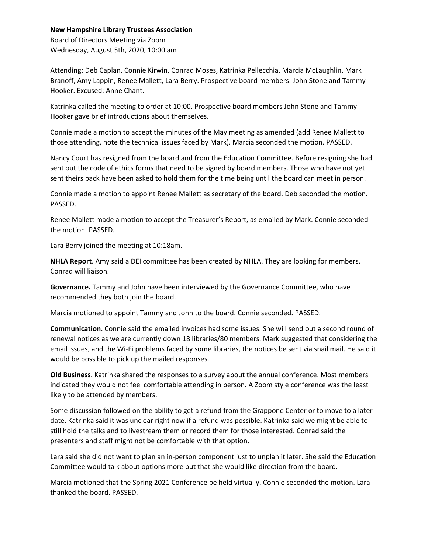## **New Hampshire Library Trustees Association**

Board of Directors Meeting via Zoom Wednesday, August 5th, 2020, 10:00 am

Attending: Deb Caplan, Connie Kirwin, Conrad Moses, Katrinka Pellecchia, Marcia McLaughlin, Mark Branoff, Amy Lappin, Renee Mallett, Lara Berry. Prospective board members: John Stone and Tammy Hooker. Excused: Anne Chant.

Katrinka called the meeting to order at 10:00. Prospective board members John Stone and Tammy Hooker gave brief introductions about themselves.

Connie made a motion to accept the minutes of the May meeting as amended (add Renee Mallett to those attending, note the technical issues faced by Mark). Marcia seconded the motion. PASSED.

Nancy Court has resigned from the board and from the Education Committee. Before resigning she had sent out the code of ethics forms that need to be signed by board members. Those who have not yet sent theirs back have been asked to hold them for the time being until the board can meet in person.

Connie made a motion to appoint Renee Mallett as secretary of the board. Deb seconded the motion. PASSED.

Renee Mallett made a motion to accept the Treasurer's Report, as emailed by Mark. Connie seconded the motion. PASSED.

Lara Berry joined the meeting at 10:18am.

**NHLA Report**. Amy said a DEI committee has been created by NHLA. They are looking for members. Conrad will liaison.

**Governance.** Tammy and John have been interviewed by the Governance Committee, who have recommended they both join the board.

Marcia motioned to appoint Tammy and John to the board. Connie seconded. PASSED.

**Communication**. Connie said the emailed invoices had some issues. She will send out a second round of renewal notices as we are currently down 18 libraries/80 members. Mark suggested that considering the email issues, and the Wi-Fi problems faced by some libraries, the notices be sent via snail mail. He said it would be possible to pick up the mailed responses.

**Old Business**. Katrinka shared the responses to a survey about the annual conference. Most members indicated they would not feel comfortable attending in person. A Zoom style conference was the least likely to be attended by members.

Some discussion followed on the ability to get a refund from the Grappone Center or to move to a later date. Katrinka said it was unclear right now if a refund was possible. Katrinka said we might be able to still hold the talks and to livestream them or record them for those interested. Conrad said the presenters and staff might not be comfortable with that option.

Lara said she did not want to plan an in-person component just to unplan it later. She said the Education Committee would talk about options more but that she would like direction from the board.

Marcia motioned that the Spring 2021 Conference be held virtually. Connie seconded the motion. Lara thanked the board. PASSED.